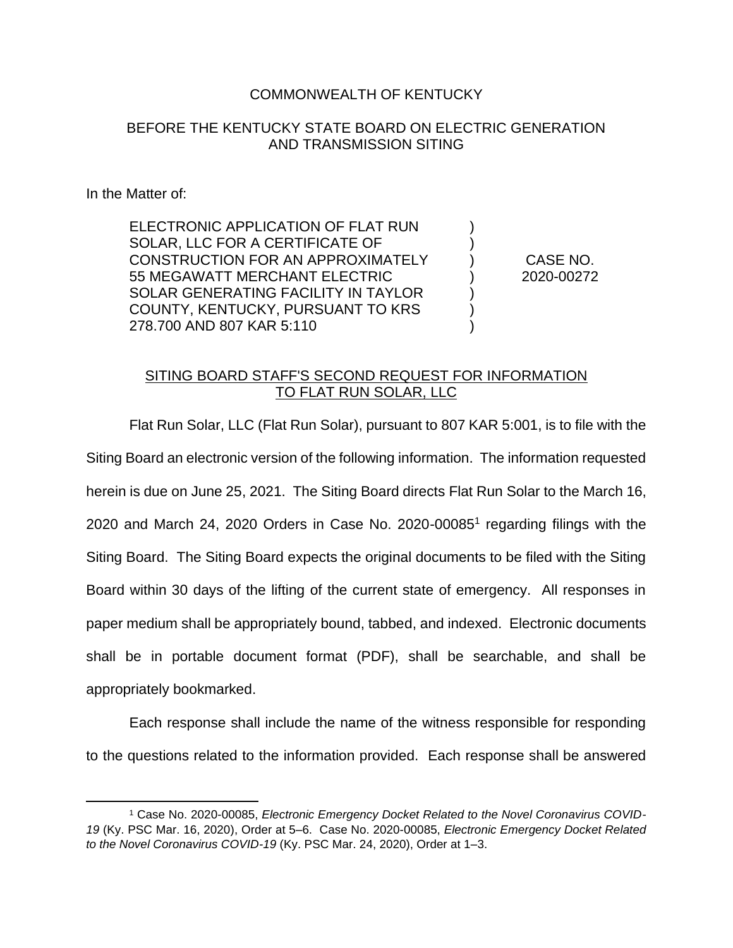## COMMONWEALTH OF KENTUCKY

## BEFORE THE KENTUCKY STATE BOARD ON ELECTRIC GENERATION AND TRANSMISSION SITING

In the Matter of:

ELECTRONIC APPLICATION OF FLAT RUN SOLAR, LLC FOR A CERTIFICATE OF CONSTRUCTION FOR AN APPROXIMATELY 55 MEGAWATT MERCHANT ELECTRIC SOLAR GENERATING FACILITY IN TAYLOR COUNTY, KENTUCKY, PURSUANT TO KRS 278.700 AND 807 KAR 5:110

CASE NO. 2020-00272

) ) ) ) ) ) )

## SITING BOARD STAFF'S SECOND REQUEST FOR INFORMATION TO FLAT RUN SOLAR, LLC

Flat Run Solar, LLC (Flat Run Solar), pursuant to 807 KAR 5:001, is to file with the Siting Board an electronic version of the following information. The information requested herein is due on June 25, 2021. The Siting Board directs Flat Run Solar to the March 16, 2020 and March 24, 2020 Orders in Case No. 2020-00085<sup>1</sup> regarding filings with the Siting Board. The Siting Board expects the original documents to be filed with the Siting Board within 30 days of the lifting of the current state of emergency. All responses in paper medium shall be appropriately bound, tabbed, and indexed. Electronic documents shall be in portable document format (PDF), shall be searchable, and shall be appropriately bookmarked.

Each response shall include the name of the witness responsible for responding to the questions related to the information provided. Each response shall be answered

<sup>1</sup> Case No. 2020-00085, *Electronic Emergency Docket Related to the Novel Coronavirus COVID-19* (Ky. PSC Mar. 16, 2020), Order at 5–6. Case No. 2020-00085, *Electronic Emergency Docket Related to the Novel Coronavirus COVID-19* (Ky. PSC Mar. 24, 2020), Order at 1–3.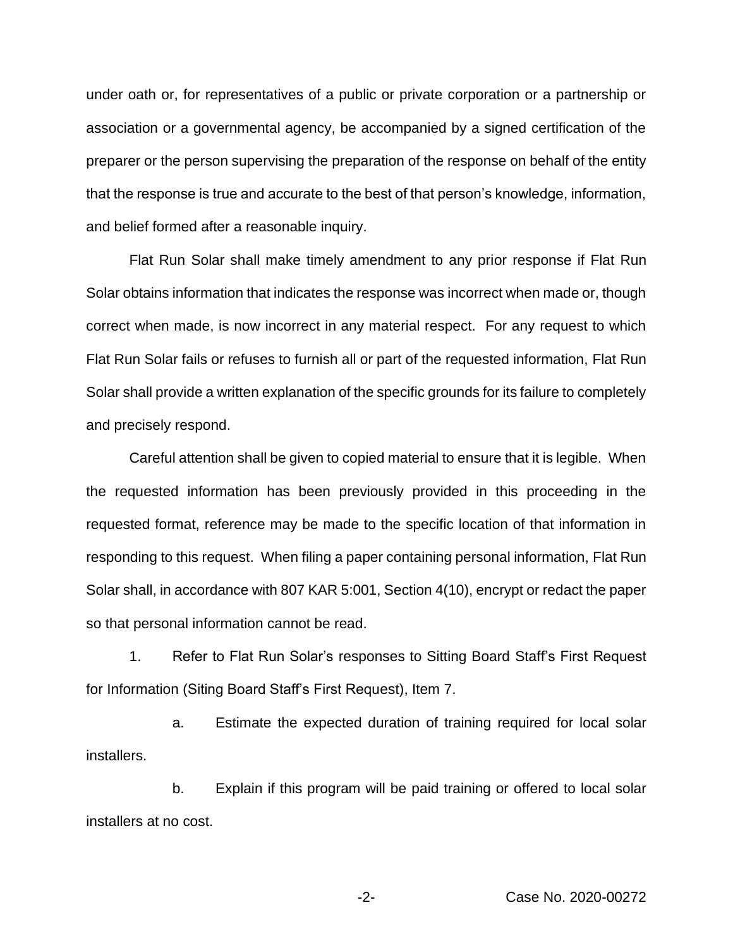under oath or, for representatives of a public or private corporation or a partnership or association or a governmental agency, be accompanied by a signed certification of the preparer or the person supervising the preparation of the response on behalf of the entity that the response is true and accurate to the best of that person's knowledge, information, and belief formed after a reasonable inquiry.

Flat Run Solar shall make timely amendment to any prior response if Flat Run Solar obtains information that indicates the response was incorrect when made or, though correct when made, is now incorrect in any material respect. For any request to which Flat Run Solar fails or refuses to furnish all or part of the requested information, Flat Run Solar shall provide a written explanation of the specific grounds for its failure to completely and precisely respond.

Careful attention shall be given to copied material to ensure that it is legible. When the requested information has been previously provided in this proceeding in the requested format, reference may be made to the specific location of that information in responding to this request. When filing a paper containing personal information, Flat Run Solar shall, in accordance with 807 KAR 5:001, Section 4(10), encrypt or redact the paper so that personal information cannot be read.

1. Refer to Flat Run Solar's responses to Sitting Board Staff's First Request for Information (Siting Board Staff's First Request), Item 7.

a. Estimate the expected duration of training required for local solar installers.

b. Explain if this program will be paid training or offered to local solar installers at no cost.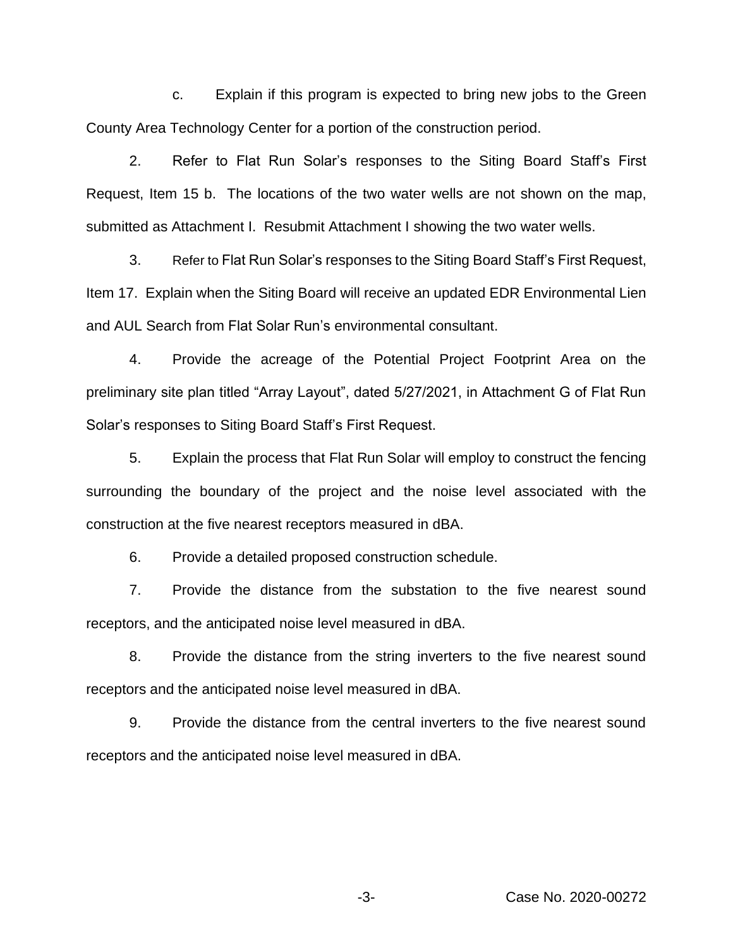c. Explain if this program is expected to bring new jobs to the Green County Area Technology Center for a portion of the construction period.

2. Refer to Flat Run Solar's responses to the Siting Board Staff's First Request, Item 15 b. The locations of the two water wells are not shown on the map, submitted as Attachment I. Resubmit Attachment I showing the two water wells.

3. Refer to Flat Run Solar's responses to the Siting Board Staff's First Request, Item 17. Explain when the Siting Board will receive an updated EDR Environmental Lien and AUL Search from Flat Solar Run's environmental consultant.

4. Provide the acreage of the Potential Project Footprint Area on the preliminary site plan titled "Array Layout", dated 5/27/2021, in Attachment G of Flat Run Solar's responses to Siting Board Staff's First Request.

5. Explain the process that Flat Run Solar will employ to construct the fencing surrounding the boundary of the project and the noise level associated with the construction at the five nearest receptors measured in dBA.

6. Provide a detailed proposed construction schedule.

7. Provide the distance from the substation to the five nearest sound receptors, and the anticipated noise level measured in dBA.

8. Provide the distance from the string inverters to the five nearest sound receptors and the anticipated noise level measured in dBA.

9. Provide the distance from the central inverters to the five nearest sound receptors and the anticipated noise level measured in dBA.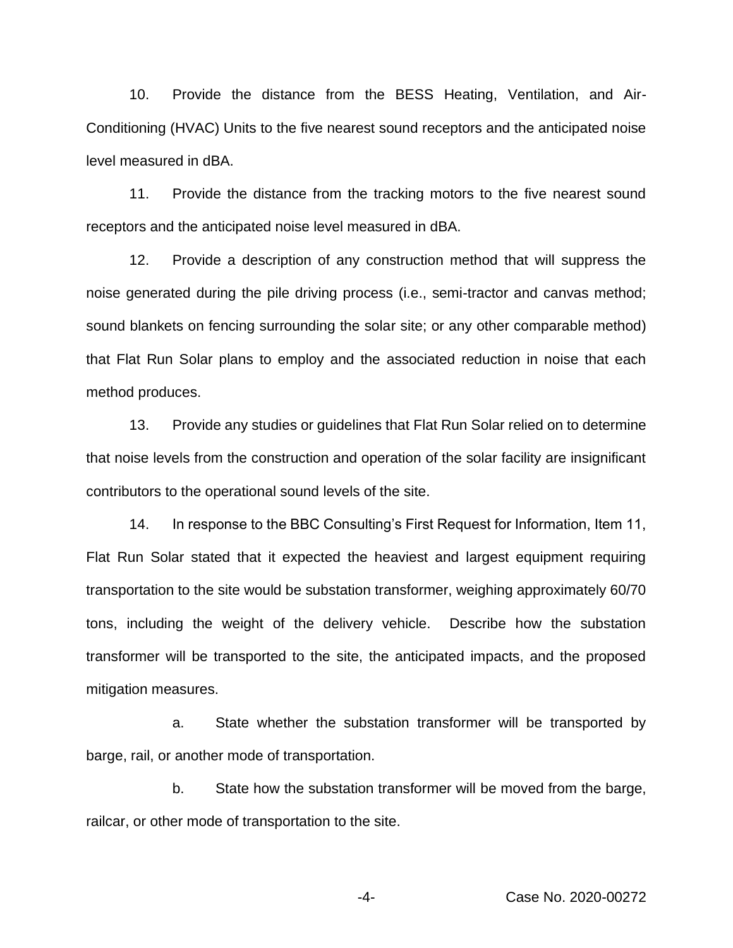10. Provide the distance from the BESS Heating, Ventilation, and Air-Conditioning (HVAC) Units to the five nearest sound receptors and the anticipated noise level measured in dBA.

11. Provide the distance from the tracking motors to the five nearest sound receptors and the anticipated noise level measured in dBA.

12. Provide a description of any construction method that will suppress the noise generated during the pile driving process (i.e., semi-tractor and canvas method; sound blankets on fencing surrounding the solar site; or any other comparable method) that Flat Run Solar plans to employ and the associated reduction in noise that each method produces.

13. Provide any studies or guidelines that Flat Run Solar relied on to determine that noise levels from the construction and operation of the solar facility are insignificant contributors to the operational sound levels of the site.

14. In response to the BBC Consulting's First Request for Information, Item 11, Flat Run Solar stated that it expected the heaviest and largest equipment requiring transportation to the site would be substation transformer, weighing approximately 60/70 tons, including the weight of the delivery vehicle. Describe how the substation transformer will be transported to the site, the anticipated impacts, and the proposed mitigation measures.

a. State whether the substation transformer will be transported by barge, rail, or another mode of transportation.

b. State how the substation transformer will be moved from the barge, railcar, or other mode of transportation to the site.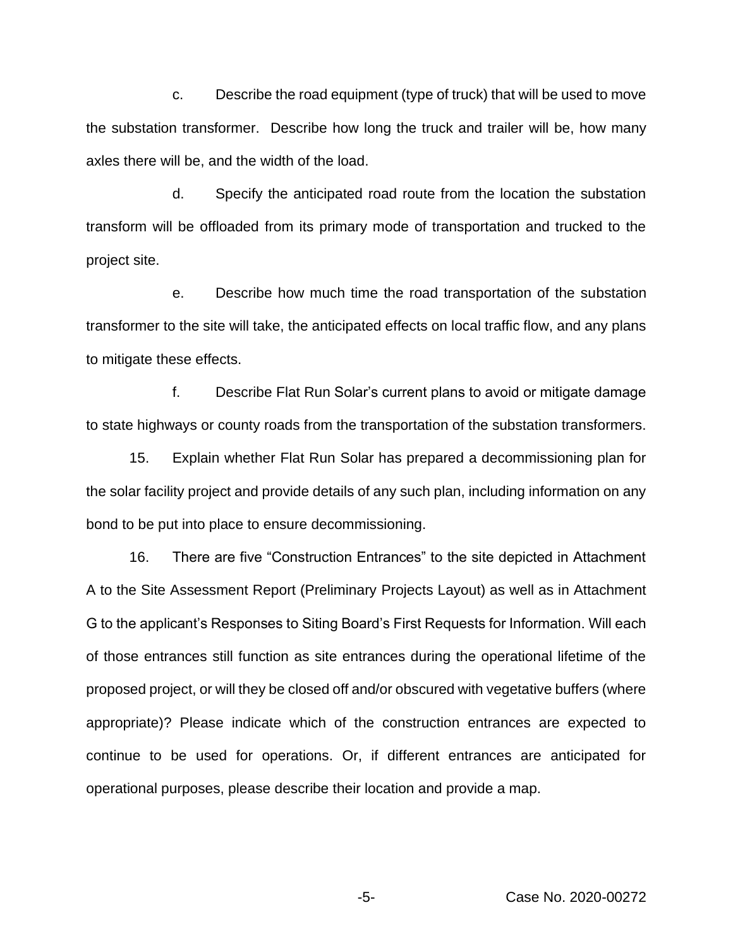c. Describe the road equipment (type of truck) that will be used to move the substation transformer. Describe how long the truck and trailer will be, how many axles there will be, and the width of the load.

d. Specify the anticipated road route from the location the substation transform will be offloaded from its primary mode of transportation and trucked to the project site.

e. Describe how much time the road transportation of the substation transformer to the site will take, the anticipated effects on local traffic flow, and any plans to mitigate these effects.

f. Describe Flat Run Solar's current plans to avoid or mitigate damage to state highways or county roads from the transportation of the substation transformers.

15. Explain whether Flat Run Solar has prepared a decommissioning plan for the solar facility project and provide details of any such plan, including information on any bond to be put into place to ensure decommissioning.

16. There are five "Construction Entrances" to the site depicted in Attachment A to the Site Assessment Report (Preliminary Projects Layout) as well as in Attachment G to the applicant's Responses to Siting Board's First Requests for Information. Will each of those entrances still function as site entrances during the operational lifetime of the proposed project, or will they be closed off and/or obscured with vegetative buffers (where appropriate)? Please indicate which of the construction entrances are expected to continue to be used for operations. Or, if different entrances are anticipated for operational purposes, please describe their location and provide a map.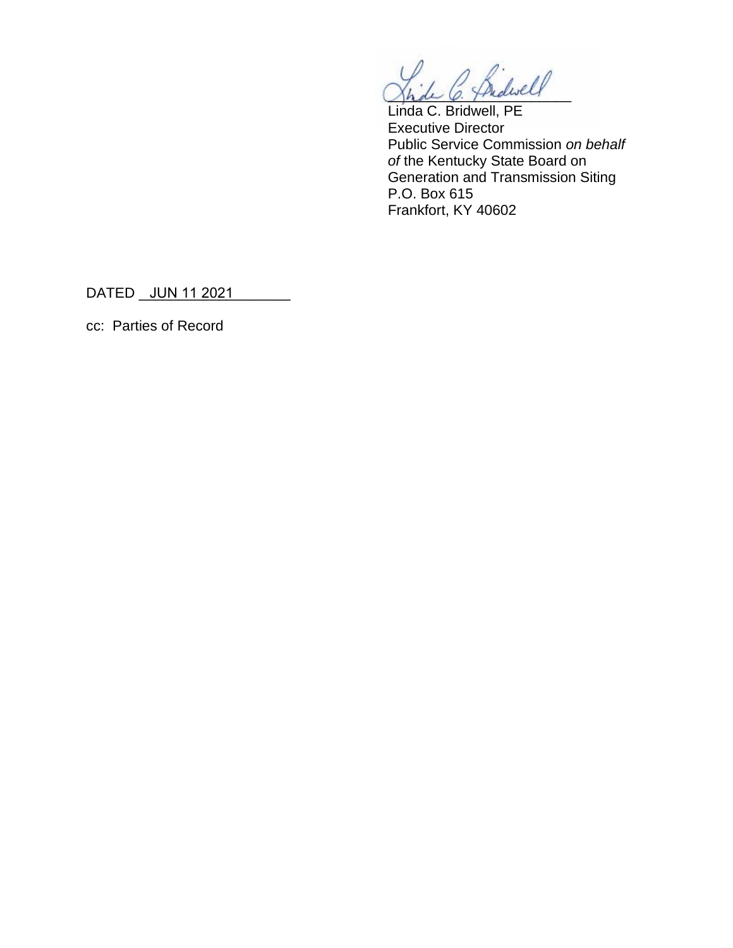C. Bidwell

Linda C. Bridwell, PE Executive Director Public Service Commission *on behalf of* the Kentucky State Board on Generation and Transmission Siting P.O. Box 615 Frankfort, KY 40602

DATED \_<u>\_JUN 11 2021 \_\_\_\_\_\_\_</u>\_

cc: Parties of Record